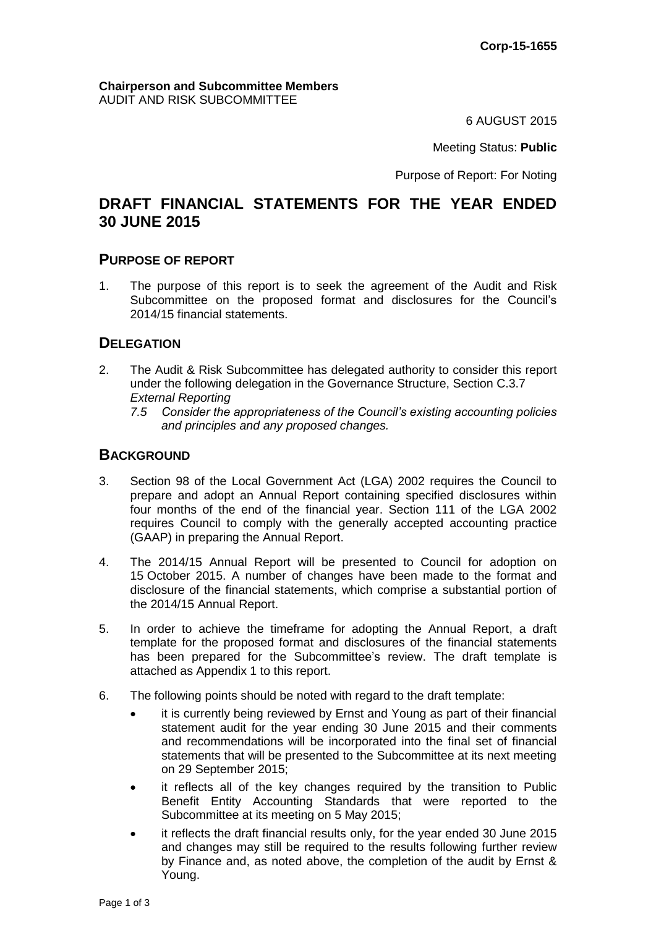#### **Chairperson and Subcommittee Members** AUDIT AND RISK SUBCOMMITTEE

6 AUGUST 2015

Meeting Status: **Public**

Purpose of Report: For Noting

# **DRAFT FINANCIAL STATEMENTS FOR THE YEAR ENDED 30 JUNE 2015**

#### **PURPOSE OF REPORT**

1. The purpose of this report is to seek the agreement of the Audit and Risk Subcommittee on the proposed format and disclosures for the Council's 2014/15 financial statements.

#### **DELEGATION**

- 2. The Audit & Risk Subcommittee has delegated authority to consider this report under the following delegation in the Governance Structure, Section C.3.7 *External Reporting* 
	- *7.5 Consider the appropriateness of the Council's existing accounting policies and principles and any proposed changes.*

#### **BACKGROUND**

- 3. Section 98 of the Local Government Act (LGA) 2002 requires the Council to prepare and adopt an Annual Report containing specified disclosures within four months of the end of the financial year. Section 111 of the LGA 2002 requires Council to comply with the generally accepted accounting practice (GAAP) in preparing the Annual Report.
- 4. The 2014/15 Annual Report will be presented to Council for adoption on 15 October 2015. A number of changes have been made to the format and disclosure of the financial statements, which comprise a substantial portion of the 2014/15 Annual Report.
- 5. In order to achieve the timeframe for adopting the Annual Report, a draft template for the proposed format and disclosures of the financial statements has been prepared for the Subcommittee's review. The draft template is attached as Appendix 1 to this report.
- 6. The following points should be noted with regard to the draft template:
	- it is currently being reviewed by Ernst and Young as part of their financial statement audit for the year ending 30 June 2015 and their comments and recommendations will be incorporated into the final set of financial statements that will be presented to the Subcommittee at its next meeting on 29 September 2015;
	- it reflects all of the key changes required by the transition to Public Benefit Entity Accounting Standards that were reported to the Subcommittee at its meeting on 5 May 2015;
	- it reflects the draft financial results only, for the year ended 30 June 2015 and changes may still be required to the results following further review by Finance and, as noted above, the completion of the audit by Ernst & Young.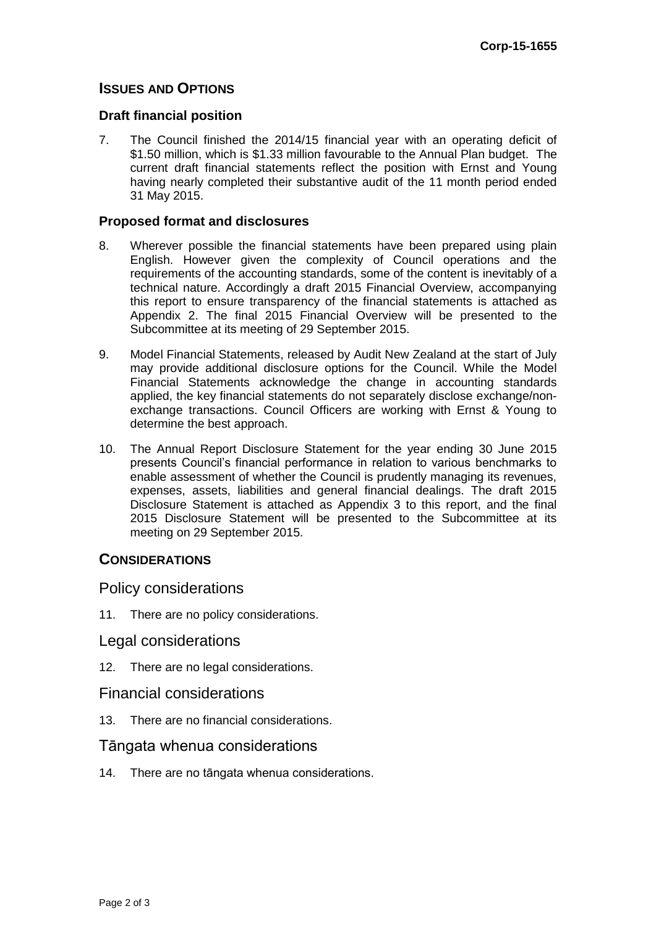## **ISSUES AND OPTIONS**

#### **Draft financial position**

7. The Council finished the 2014/15 financial year with an operating deficit of \$1.50 million, which is \$1.33 million favourable to the Annual Plan budget. The current draft financial statements reflect the position with Ernst and Young having nearly completed their substantive audit of the 11 month period ended 31 May 2015.

#### **Proposed format and disclosures**

- 8. Wherever possible the financial statements have been prepared using plain English. However given the complexity of Council operations and the requirements of the accounting standards, some of the content is inevitably of a technical nature. Accordingly a draft 2015 Financial Overview, accompanying this report to ensure transparency of the financial statements is attached as Appendix 2. The final 2015 Financial Overview will be presented to the Subcommittee at its meeting of 29 September 2015.
- 9. Model Financial Statements, released by Audit New Zealand at the start of July may provide additional disclosure options for the Council. While the Model Financial Statements acknowledge the change in accounting standards applied, the key financial statements do not separately disclose exchange/nonexchange transactions. Council Officers are working with Ernst & Young to determine the best approach.
- 10. The Annual Report Disclosure Statement for the year ending 30 June 2015 presents Council's financial performance in relation to various benchmarks to enable assessment of whether the Council is prudently managing its revenues, expenses, assets, liabilities and general financial dealings. The draft 2015 Disclosure Statement is attached as Appendix 3 to this report, and the final 2015 Disclosure Statement will be presented to the Subcommittee at its meeting on 29 September 2015.

## **CONSIDERATIONS**

Policy considerations

11. There are no policy considerations.

## Legal considerations

12. There are no legal considerations.

#### Financial considerations

13. There are no financial considerations.

## Tāngata whenua considerations

14. There are no tāngata whenua considerations.